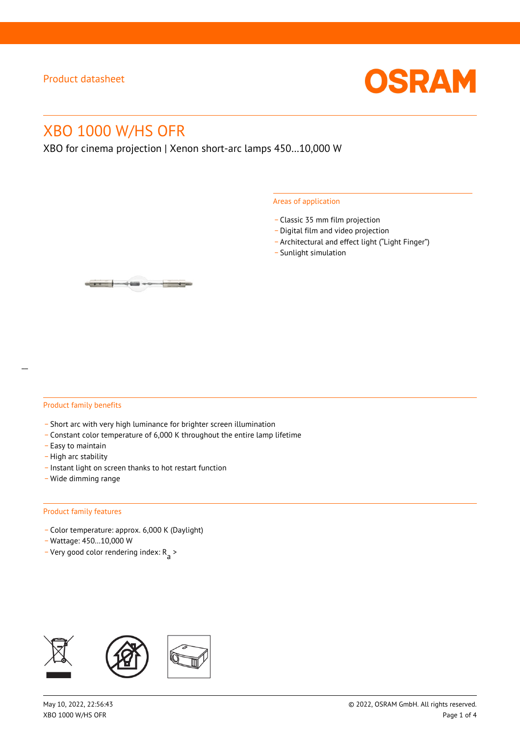

# XBO 1000 W/HS OFR

XBO for cinema projection | Xenon short-arc lamps 450…10,000 W

#### Areas of application

- \_ Classic 35 mm film projection
- \_ Digital film and video projection
- \_ Architectural and effect light ("Light Finger")
- Sunlight simulation

#### Product family benefits

- \_ Short arc with very high luminance for brighter screen illumination
- \_ Constant color temperature of 6,000 K throughout the entire lamp lifetime
- \_ Easy to maintain
- High arc stability
- \_ Instant light on screen thanks to hot restart function
- \_ Wide dimming range

#### Product family features

- \_ Color temperature: approx. 6,000 K (Daylight)
- \_ Wattage: 450…10,000 W
- Very good color rendering index:  $R_{\text{a}}$  >

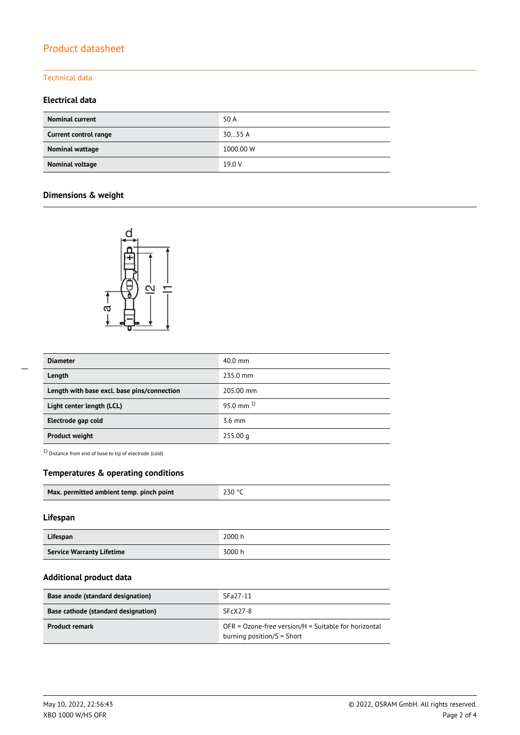# Product datasheet

### Technical data

### **Electrical data**

| <b>Nominal current</b> | 50 A      |
|------------------------|-----------|
| Current control range  | 3055A     |
| Nominal wattage        | 1000.00 W |
| Nominal voltage        | 19.0 V    |

## **Dimensions & weight**



| <b>Diameter</b>                             | $40.0$ mm      |  |
|---------------------------------------------|----------------|--|
| Length                                      | 235.0 mm       |  |
| Length with base excl. base pins/connection | 205.00 mm      |  |
| Light center length (LCL)                   | 95.0 mm $^{1}$ |  |
| Electrode gap cold                          | $3.6$ mm       |  |
| <b>Product weight</b>                       | 255.00 q       |  |

 $1)$  Distance from end of base to tip of electrode (cold)

### **Temperatures & operating conditions**

| Max. permitted ambient temp. pinch point | 230 °C |
|------------------------------------------|--------|
|                                          |        |

#### **Lifespan**

| Lifespan                         | 2000 h |
|----------------------------------|--------|
| <b>Service Warranty Lifetime</b> | 3000 h |

#### **Additional product data**

| Base anode (standard designation)   | SFa27-11                                                                                |  |  |
|-------------------------------------|-----------------------------------------------------------------------------------------|--|--|
| Base cathode (standard designation) | $SFCX27-8$                                                                              |  |  |
| <b>Product remark</b>               | $OFR = Ozone-free version/H = Suitable for horizontal$<br>burning position/ $S =$ Short |  |  |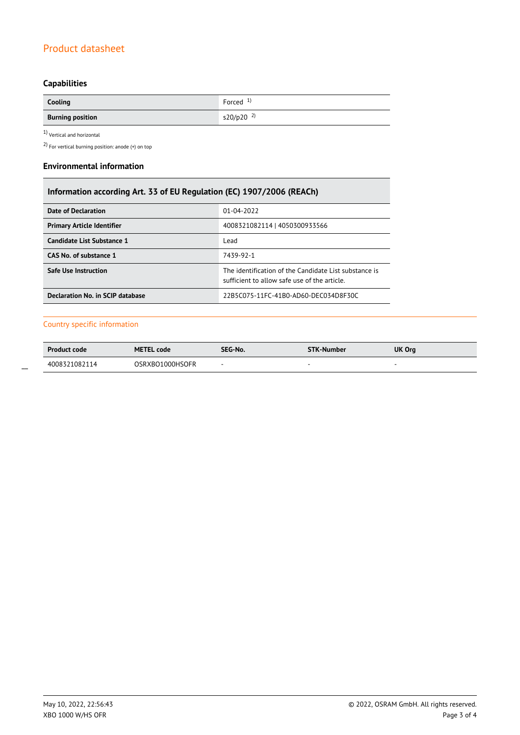# Product datasheet

# **Capabilities**

| Cooling                 | Forced $1$              |
|-------------------------|-------------------------|
| <b>Burning position</b> | $s20/p20$ <sup>2)</sup> |

 $1$ Vertical and horizontal  $\,$ 

2) For vertical burning position: anode (+) on top

#### **Environmental information**

| Information according Art. 33 of EU Regulation (EC) 1907/2006 (REACh) |                                                                                                      |  |  |
|-----------------------------------------------------------------------|------------------------------------------------------------------------------------------------------|--|--|
| <b>Date of Declaration</b>                                            | $01 - 04 - 2022$                                                                                     |  |  |
| <b>Primary Article Identifier</b><br>4008321082114   4050300933566    |                                                                                                      |  |  |
| Candidate List Substance 1                                            | Lead                                                                                                 |  |  |
| CAS No. of substance 1                                                | 7439-92-1                                                                                            |  |  |
| <b>Safe Use Instruction</b>                                           | The identification of the Candidate List substance is<br>sufficient to allow safe use of the article |  |  |
| Declaration No. in SCIP database                                      | 22B5C075-11FC-41B0-AD60-DEC034D8F30C                                                                 |  |  |

### Country specific information

| <b>Product code</b> | <b>METEL code</b> | SEG-No. | <b>STK-Number</b> | UK Org |
|---------------------|-------------------|---------|-------------------|--------|
| 4008321082114       | OSRXBO1000HSOFR   |         |                   |        |